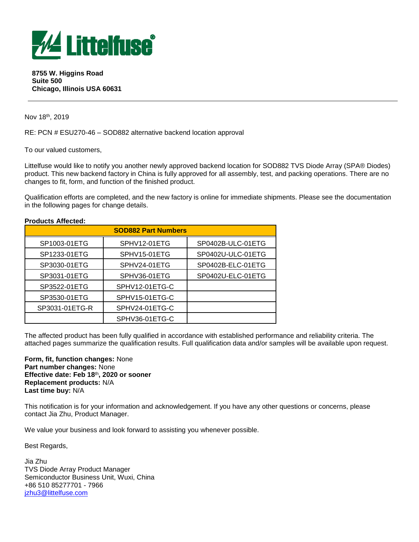

**8755 W. Higgins Road Suite 500 Chicago, Illinois USA 60631**

Nov 18th, 2019

RE: PCN # ESU270-46 – SOD882 alternative backend location approval

To our valued customers,

**Products Affected:**

Littelfuse would like to notify you another newly approved backend location for SOD882 TVS Diode Array (SPA® Diodes) product. This new backend factory in China is fully approved for all assembly, test, and packing operations. There are no changes to fit, form, and function of the finished product.

Qualification efforts are completed, and the new factory is online for immediate shipments. Please see the documentation in the following pages for change details.

| . . 000000 Anvoitu         |                |                   |  |  |
|----------------------------|----------------|-------------------|--|--|
| <b>SOD882 Part Numbers</b> |                |                   |  |  |
| SP1003-01ETG               | SPHV12-01ETG   | SP0402B-ULC-01ETG |  |  |
| SP1233-01ETG               | SPHV15-01ETG   | SP0402U-ULC-01ETG |  |  |
| SP3030-01ETG               | SPHV24-01ETG   | SP0402B-ELC-01ETG |  |  |
| SP3031-01ETG               | SPHV36-01ETG   | SP0402U-ELC-01ETG |  |  |
| SP3522-01ETG               | SPHV12-01ETG-C |                   |  |  |
| SP3530-01ETG               | SPHV15-01ETG-C |                   |  |  |
| SP3031-01ETG-R             | SPHV24-01ETG-C |                   |  |  |
|                            | SPHV36-01ETG-C |                   |  |  |

The affected product has been fully qualified in accordance with established performance and reliability criteria. The attached pages summarize the qualification results. Full qualification data and/or samples will be available upon request.

**Form, fit, function changes:** None **Part number changes:** None **Effective date: Feb 18** th**, 2020 or sooner Replacement products:** N/A **Last time buy:** N/A

This notification is for your information and acknowledgement. If you have any other questions or concerns, please contact Jia Zhu, Product Manager.

We value your business and look forward to assisting you whenever possible.

Best Regards,

Jia Zhu TVS Diode Array Product Manager Semiconductor Business Unit, Wuxi, China +86 510 85277701 - 7966 [jzhu3@littelfuse.com](mailto:jzhu3@littelfuse.com)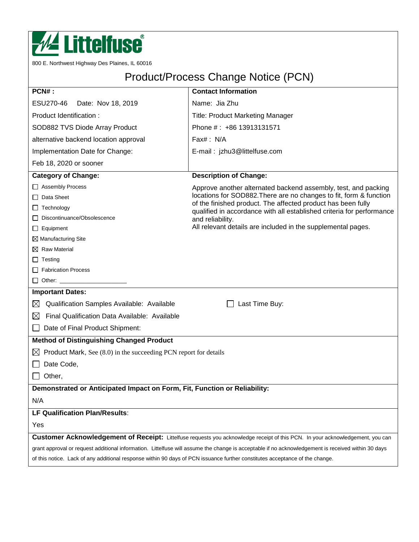

800 E. Northwest Highway Des Plaines, IL 60016

# Product/Process Change Notice (PCN)

| PCN#:                                                                                                                                              | <b>Contact Information</b>                                                                                                            |  |  |  |
|----------------------------------------------------------------------------------------------------------------------------------------------------|---------------------------------------------------------------------------------------------------------------------------------------|--|--|--|
| ESU270-46<br>Date: Nov 18, 2019                                                                                                                    | Name: Jia Zhu                                                                                                                         |  |  |  |
| Product Identification:                                                                                                                            | <b>Title: Product Marketing Manager</b>                                                                                               |  |  |  |
| SOD882 TVS Diode Array Product                                                                                                                     | Phone #: +86 13913131571                                                                                                              |  |  |  |
| alternative backend location approval                                                                                                              | Fax#: N/A                                                                                                                             |  |  |  |
| Implementation Date for Change:                                                                                                                    | E-mail: jzhu3@littelfuse.com                                                                                                          |  |  |  |
| Feb 18, 2020 or sooner                                                                                                                             |                                                                                                                                       |  |  |  |
| <b>Category of Change:</b>                                                                                                                         | <b>Description of Change:</b>                                                                                                         |  |  |  |
| □ Assembly Process                                                                                                                                 | Approve another alternated backend assembly, test, and packing                                                                        |  |  |  |
| $\Box$ Data Sheet                                                                                                                                  | locations for SOD882. There are no changes to fit, form & function                                                                    |  |  |  |
| $\Box$ Technology                                                                                                                                  | of the finished product. The affected product has been fully<br>qualified in accordance with all established criteria for performance |  |  |  |
| Discontinuance/Obsolescence                                                                                                                        | and reliability.                                                                                                                      |  |  |  |
| $\Box$ Equipment                                                                                                                                   | All relevant details are included in the supplemental pages.                                                                          |  |  |  |
| $\boxtimes$ Manufacturing Site                                                                                                                     |                                                                                                                                       |  |  |  |
| $\boxtimes$ Raw Material                                                                                                                           |                                                                                                                                       |  |  |  |
| $\Box$ Testing                                                                                                                                     |                                                                                                                                       |  |  |  |
| Fabrication Process                                                                                                                                |                                                                                                                                       |  |  |  |
| □ Other: ____________________                                                                                                                      |                                                                                                                                       |  |  |  |
| <b>Important Dates:</b>                                                                                                                            |                                                                                                                                       |  |  |  |
| Qualification Samples Available: Available<br>$\boxtimes$                                                                                          | Last Time Buy:                                                                                                                        |  |  |  |
| Final Qualification Data Available: Available<br>$\boxtimes$                                                                                       |                                                                                                                                       |  |  |  |
| Date of Final Product Shipment:                                                                                                                    |                                                                                                                                       |  |  |  |
| <b>Method of Distinguishing Changed Product</b>                                                                                                    |                                                                                                                                       |  |  |  |
| Product Mark, See (8.0) in the succeeding PCN report for details<br>$\boxtimes$                                                                    |                                                                                                                                       |  |  |  |
| Date Code,                                                                                                                                         |                                                                                                                                       |  |  |  |
| Other,                                                                                                                                             |                                                                                                                                       |  |  |  |
| Demonstrated or Anticipated Impact on Form, Fit, Function or Reliability:                                                                          |                                                                                                                                       |  |  |  |
| N/A                                                                                                                                                |                                                                                                                                       |  |  |  |
| LF Qualification Plan/Results:                                                                                                                     |                                                                                                                                       |  |  |  |
| Yes                                                                                                                                                |                                                                                                                                       |  |  |  |
|                                                                                                                                                    | Customer Acknowledgement of Receipt: Littelfuse requests you acknowledge receipt of this PCN. In your acknowledgement, you can        |  |  |  |
| grant approval or request additional information. Littelfuse will assume the change is acceptable if no acknowledgement is received within 30 days |                                                                                                                                       |  |  |  |
| of this notice. Lack of any additional response within 90 days of PCN issuance further constitutes acceptance of the change.                       |                                                                                                                                       |  |  |  |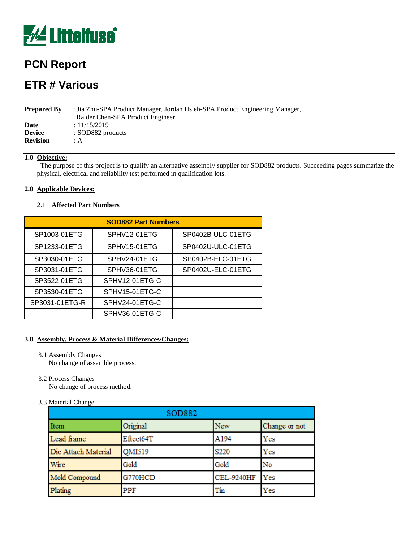

## **PCN Report**

## **ETR # Various**

| <b>Prepared By</b> | : Jia Zhu-SPA Product Manager, Jordan Hsieh-SPA Product Engineering Manager, |  |  |  |  |
|--------------------|------------------------------------------------------------------------------|--|--|--|--|
|                    | Raider Chen-SPA Product Engineer,                                            |  |  |  |  |
| Date               | : 11/15/2019                                                                 |  |  |  |  |
| <b>Device</b>      | : SOD882 products                                                            |  |  |  |  |
| <b>Revision</b>    | ÷А                                                                           |  |  |  |  |

## **1.0 Objective:**

 The purpose of this project is to qualify an alternative assembly supplier for SOD882 products. Succeeding pages summarize the physical, electrical and reliability test performed in qualification lots.

#### **2.0 Applicable Devices:**

#### 2.1 **Affected Part Numbers**

| <b>SOD882 Part Numbers</b> |                |                   |  |  |
|----------------------------|----------------|-------------------|--|--|
| SP1003-01ETG               | SPHV12-01ETG   | SP0402B-ULC-01ETG |  |  |
| SP1233-01ETG               | SPHV15-01ETG   | SP0402U-ULC-01ETG |  |  |
| SP3030-01ETG               | SPHV24-01ETG   | SP0402B-ELC-01ETG |  |  |
| SP3031-01ETG               | SPHV36-01ETG   | SP0402U-ELC-01ETG |  |  |
| SP3522-01ETG               | SPHV12-01ETG-C |                   |  |  |
| SP3530-01ETG               | SPHV15-01ETG-C |                   |  |  |
| SP3031-01ETG-R             | SPHV24-01ETG-C |                   |  |  |
|                            | SPHV36-01ETG-C |                   |  |  |

#### **3.0 Assembly, Process & Material Differences/Changes:**

- 3.1 Assembly Changes No change of assemble process.
- 3.2 Process Changes

No change of process method.

3.3 Material Change

| SOD882              |               |                   |               |  |
|---------------------|---------------|-------------------|---------------|--|
| Item                | Original      | <b>New</b>        | Change or not |  |
| Lead frame          | Eftect64T     | A194              | Yes           |  |
| Die Attach Material | <b>OMI519</b> | S220              | Yes           |  |
| Wire                | Gold          | Gold              | No            |  |
| Mold Compound       | G770HCD       | <b>CEL-9240HF</b> | Yes           |  |
| Plating             | PPF           | Tin               | Yes           |  |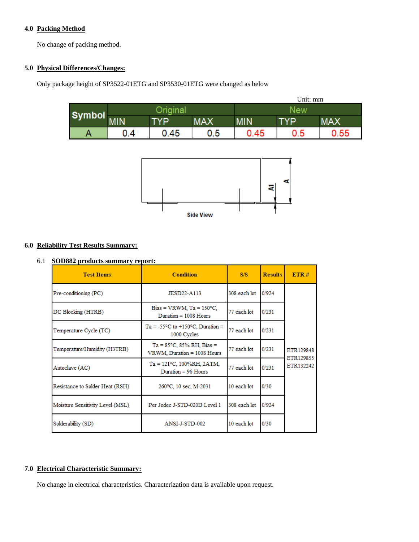## **4.0 Packing Method**

No change of packing method.

## **5.0 Physical Differences/Changes:**

Only package height of SP3522-01ETG and SP3530-01ETG were changed as below

|               | Unit: mm |      |            |      |     |            |
|---------------|----------|------|------------|------|-----|------------|
|               |          |      |            | New  |     |            |
| <b>Symbol</b> | MIN      | TYP  | <b>MAX</b> | MIN  | TYP | <b>MAX</b> |
| Α             | 0.4      | 0.45 | 0.5        | 0.45 | 0.5 | 0.55       |



## **6.0 Reliability Test Results Summary:**

### 6.1 **SOD882 products summary report:**

| <b>Test Items</b>                | <b>Condition</b>                                                   | S/S          | <b>Results</b> | ETR#                   |
|----------------------------------|--------------------------------------------------------------------|--------------|----------------|------------------------|
| Pre-conditioning (PC)            | JESD22-A113                                                        | 308 each lot | 0/924          |                        |
| DC Blocking (HTRB)               | Bias = VRWM, $Ta = 150^{\circ}C$ ,<br>Duration $= 1008$ Hours      | 77 each lot  | 0/231          |                        |
| Temperature Cycle (TC)           | $Ta = -55^{\circ}C$ to $+150^{\circ}C$ . Duration =<br>1000 Cycles | 77 each lot  | 0/231          |                        |
| Temperature/Humidity (H3TRB)     | $Ta = 85^{\circ}C$ , 85% RH, Bias =<br>VRWM, Duration = 1008 Hours | 77 each lot  | 0/231          | ETR129848<br>ETR129855 |
| Autoclave (AC)                   | $Ta = 121^{\circ}C$ , 100%RH, 2ATM,<br>Duration = $96$ Hours       | 77 each lot  | 0/231          | ETR132242              |
| Resistance to Solder Heat (RSH)  | 260°C, 10 sec, M-2031                                              | 10 each lot  | 0/30           |                        |
| Moisture Sensitivity Level (MSL) | Per Jedec J-STD-020D Level 1                                       | 308 each lot | 0/924          |                        |
| Solderability (SD)               | ANSI-J-STD-002                                                     | 10 each lot  | 0/30           |                        |

## **7.0 Electrical Characteristic Summary:**

No change in electrical characteristics. Characterization data is available upon request.